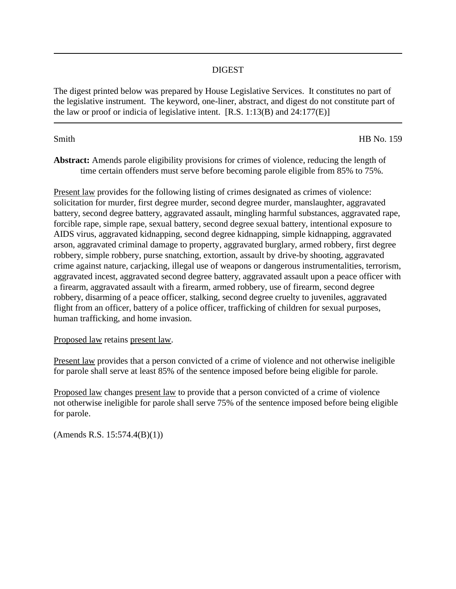## DIGEST

The digest printed below was prepared by House Legislative Services. It constitutes no part of the legislative instrument. The keyword, one-liner, abstract, and digest do not constitute part of the law or proof or indicia of legislative intent.  $[R.S. 1:13(B)$  and  $24:177(E)$ 

Smith HB No. 159

**Abstract:** Amends parole eligibility provisions for crimes of violence, reducing the length of time certain offenders must serve before becoming parole eligible from 85% to 75%.

Present law provides for the following listing of crimes designated as crimes of violence: solicitation for murder, first degree murder, second degree murder, manslaughter, aggravated battery, second degree battery, aggravated assault, mingling harmful substances, aggravated rape, forcible rape, simple rape, sexual battery, second degree sexual battery, intentional exposure to AIDS virus, aggravated kidnapping, second degree kidnapping, simple kidnapping, aggravated arson, aggravated criminal damage to property, aggravated burglary, armed robbery, first degree robbery, simple robbery, purse snatching, extortion, assault by drive-by shooting, aggravated crime against nature, carjacking, illegal use of weapons or dangerous instrumentalities, terrorism, aggravated incest, aggravated second degree battery, aggravated assault upon a peace officer with a firearm, aggravated assault with a firearm, armed robbery, use of firearm, second degree robbery, disarming of a peace officer, stalking, second degree cruelty to juveniles, aggravated flight from an officer, battery of a police officer, trafficking of children for sexual purposes, human trafficking, and home invasion.

Proposed law retains present law.

Present law provides that a person convicted of a crime of violence and not otherwise ineligible for parole shall serve at least 85% of the sentence imposed before being eligible for parole.

Proposed law changes present law to provide that a person convicted of a crime of violence not otherwise ineligible for parole shall serve 75% of the sentence imposed before being eligible for parole.

(Amends R.S. 15:574.4(B)(1))